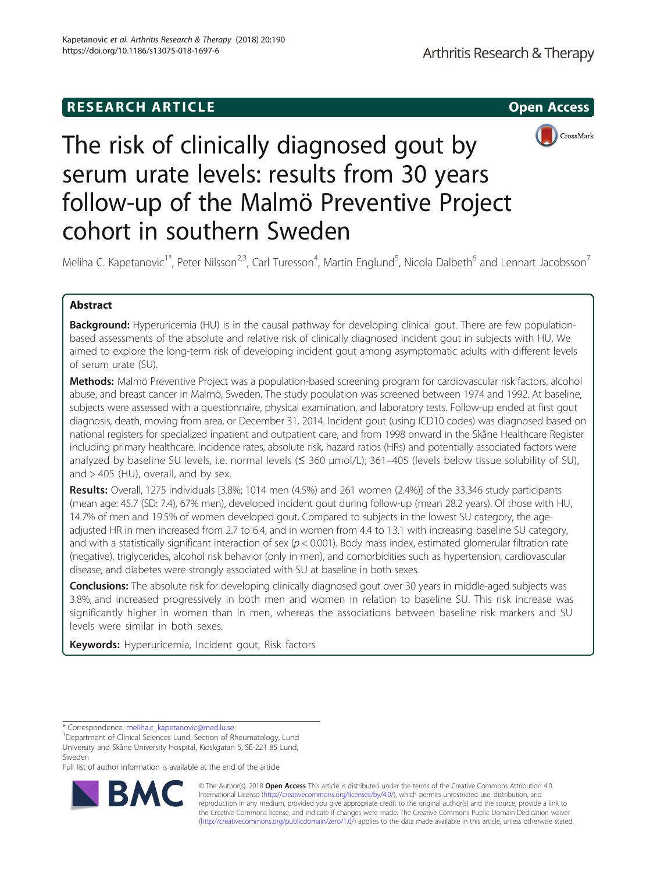# **RESEARCH ARTICLE Example 2014 CONSIDERING CONSIDERING CONSIDERING CONSIDERING CONSIDERING CONSIDERING CONSIDERING CONSIDERING CONSIDERING CONSIDERING CONSIDERING CONSIDERING CONSIDERING CONSIDERING CONSIDERING CONSIDE**



# The risk of clinically diagnosed gout by serum urate levels: results from 30 years follow-up of the Malmö Preventive Project cohort in southern Sweden

Meliha C. Kapetanovic<sup>1\*</sup>, Peter Nilsson<sup>2,3</sup>, Carl Turesson<sup>4</sup>, Martin Englund<sup>5</sup>, Nicola Dalbeth<sup>6</sup> and Lennart Jacobsson<sup>7</sup>

# Abstract

Background: Hyperuricemia (HU) is in the causal pathway for developing clinical gout. There are few populationbased assessments of the absolute and relative risk of clinically diagnosed incident gout in subjects with HU. We aimed to explore the long-term risk of developing incident gout among asymptomatic adults with different levels of serum urate (SU).

Methods: Malmö Preventive Project was a population-based screening program for cardiovascular risk factors, alcohol abuse, and breast cancer in Malmö, Sweden. The study population was screened between 1974 and 1992. At baseline, subjects were assessed with a questionnaire, physical examination, and laboratory tests. Follow-up ended at first gout diagnosis, death, moving from area, or December 31, 2014. Incident gout (using ICD10 codes) was diagnosed based on national registers for specialized inpatient and outpatient care, and from 1998 onward in the Skåne Healthcare Register including primary healthcare. Incidence rates, absolute risk, hazard ratios (HRs) and potentially associated factors were analyzed by baseline SU levels, i.e. normal levels ( $\leq$  360  $\mu$ mol/L); 361–405 (levels below tissue solubility of SU), and  $>$  405 (HU), overall, and by sex.

Results: Overall, 1275 individuals [3.8%; 1014 men (4.5%) and 261 women (2.4%)] of the 33,346 study participants (mean age: 45.7 (SD: 7.4), 67% men), developed incident gout during follow-up (mean 28.2 years). Of those with HU, 14.7% of men and 19.5% of women developed gout. Compared to subjects in the lowest SU category, the ageadjusted HR in men increased from 2.7 to 6.4, and in women from 4.4 to 13.1 with increasing baseline SU category, and with a statistically significant interaction of sex ( $p < 0.001$ ). Body mass index, estimated glomerular filtration rate (negative), triglycerides, alcohol risk behavior (only in men), and comorbidities such as hypertension, cardiovascular disease, and diabetes were strongly associated with SU at baseline in both sexes.

**Conclusions:** The absolute risk for developing clinically diagnosed gout over 30 years in middle-aged subjects was 3.8%, and increased progressively in both men and women in relation to baseline SU. This risk increase was significantly higher in women than in men, whereas the associations between baseline risk markers and SU levels were similar in both sexes.

Keywords: Hyperuricemia, Incident gout, Risk factors

Full list of author information is available at the end of the article



© The Author(s). 2018 Open Access This article is distributed under the terms of the Creative Commons Attribution 4.0 International License [\(http://creativecommons.org/licenses/by/4.0/](http://creativecommons.org/licenses/by/4.0/)), which permits unrestricted use, distribution, and reproduction in any medium, provided you give appropriate credit to the original author(s) and the source, provide a link to the Creative Commons license, and indicate if changes were made. The Creative Commons Public Domain Dedication waiver [\(http://creativecommons.org/publicdomain/zero/1.0/](http://creativecommons.org/publicdomain/zero/1.0/)) applies to the data made available in this article, unless otherwise stated.

<sup>\*</sup> Correspondence: [meliha.c\\_kapetanovic@med.lu.se](mailto:meliha.c_kapetanovic@med.lu.se) <sup>1</sup>

<sup>&</sup>lt;sup>1</sup>Department of Clinical Sciences Lund, Section of Rheumatology, Lund University and Skåne University Hospital, Kioskgatan 5, SE-221 85 Lund, Sweden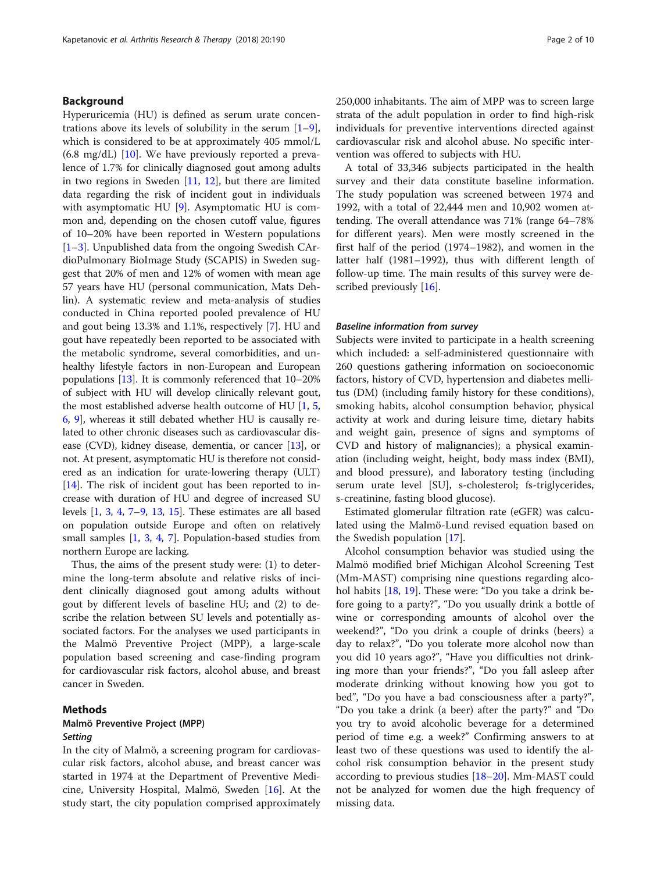# Background

Hyperuricemia (HU) is defined as serum urate concentrations above its levels of solubility in the serum  $[1-9]$  $[1-9]$  $[1-9]$  $[1-9]$ , which is considered to be at approximately 405 mmol/L (6.8 mg/dL) [[10\]](#page-8-0). We have previously reported a prevalence of 1.7% for clinically diagnosed gout among adults in two regions in Sweden [[11,](#page-8-0) [12](#page-8-0)], but there are limited data regarding the risk of incident gout in individuals with asymptomatic HU [[9\]](#page-8-0). Asymptomatic HU is common and, depending on the chosen cutoff value, figures of 10–20% have been reported in Western populations  $[1-3]$  $[1-3]$  $[1-3]$  $[1-3]$ . Unpublished data from the ongoing Swedish CArdioPulmonary BioImage Study (SCAPIS) in Sweden suggest that 20% of men and 12% of women with mean age 57 years have HU (personal communication, Mats Dehlin). A systematic review and meta-analysis of studies conducted in China reported pooled prevalence of HU and gout being 13.3% and 1.1%, respectively [\[7](#page-8-0)]. HU and gout have repeatedly been reported to be associated with the metabolic syndrome, several comorbidities, and unhealthy lifestyle factors in non-European and European populations [\[13\]](#page-8-0). It is commonly referenced that 10–20% of subject with HU will develop clinically relevant gout, the most established adverse health outcome of HU  $[1, 5, 5]$  $[1, 5, 5]$  $[1, 5, 5]$  $[1, 5, 5]$ [6,](#page-8-0) [9](#page-8-0)], whereas it still debated whether HU is causally related to other chronic diseases such as cardiovascular disease (CVD), kidney disease, dementia, or cancer [\[13\]](#page-8-0), or not. At present, asymptomatic HU is therefore not considered as an indication for urate-lowering therapy (ULT) [[14](#page-8-0)]. The risk of incident gout has been reported to increase with duration of HU and degree of increased SU levels [\[1,](#page-8-0) [3](#page-8-0), [4,](#page-8-0) [7](#page-8-0)–[9,](#page-8-0) [13](#page-8-0), [15](#page-8-0)]. These estimates are all based on population outside Europe and often on relatively small samples [\[1](#page-8-0), [3,](#page-8-0) [4](#page-8-0), [7](#page-8-0)]. Population-based studies from northern Europe are lacking.

Thus, the aims of the present study were: (1) to determine the long-term absolute and relative risks of incident clinically diagnosed gout among adults without gout by different levels of baseline HU; and (2) to describe the relation between SU levels and potentially associated factors. For the analyses we used participants in the Malmö Preventive Project (MPP), a large-scale population based screening and case-finding program for cardiovascular risk factors, alcohol abuse, and breast cancer in Sweden.

# Methods

# Malmö Preventive Project (MPP) **Setting**

In the city of Malmö, a screening program for cardiovascular risk factors, alcohol abuse, and breast cancer was started in 1974 at the Department of Preventive Medicine, University Hospital, Malmö, Sweden [\[16\]](#page-8-0). At the study start, the city population comprised approximately 250,000 inhabitants. The aim of MPP was to screen large strata of the adult population in order to find high-risk individuals for preventive interventions directed against cardiovascular risk and alcohol abuse. No specific intervention was offered to subjects with HU.

A total of 33,346 subjects participated in the health survey and their data constitute baseline information. The study population was screened between 1974 and 1992, with a total of 22,444 men and 10,902 women attending. The overall attendance was 71% (range 64–78% for different years). Men were mostly screened in the first half of the period (1974–1982), and women in the latter half (1981–1992), thus with different length of follow-up time. The main results of this survey were de-scribed previously [[16](#page-8-0)].

#### Baseline information from survey

Subjects were invited to participate in a health screening which included: a self-administered questionnaire with 260 questions gathering information on socioeconomic factors, history of CVD, hypertension and diabetes mellitus (DM) (including family history for these conditions), smoking habits, alcohol consumption behavior, physical activity at work and during leisure time, dietary habits and weight gain, presence of signs and symptoms of CVD and history of malignancies); a physical examination (including weight, height, body mass index (BMI), and blood pressure), and laboratory testing (including serum urate level [SU], s-cholesterol; fs-triglycerides, s-creatinine, fasting blood glucose).

Estimated glomerular filtration rate (eGFR) was calculated using the Malmö-Lund revised equation based on the Swedish population [[17\]](#page-8-0).

Alcohol consumption behavior was studied using the Malmö modified brief Michigan Alcohol Screening Test (Mm-MAST) comprising nine questions regarding alco-hol habits [\[18](#page-8-0), [19](#page-8-0)]. These were: "Do you take a drink before going to a party?", "Do you usually drink a bottle of wine or corresponding amounts of alcohol over the weekend?", "Do you drink a couple of drinks (beers) a day to relax?", "Do you tolerate more alcohol now than you did 10 years ago?", "Have you difficulties not drinking more than your friends?", "Do you fall asleep after moderate drinking without knowing how you got to bed", "Do you have a bad consciousness after a party?", "Do you take a drink (a beer) after the party?" and "Do you try to avoid alcoholic beverage for a determined period of time e.g. a week?" Confirming answers to at least two of these questions was used to identify the alcohol risk consumption behavior in the present study according to previous studies [\[18](#page-8-0)–[20\]](#page-8-0). Mm-MAST could not be analyzed for women due the high frequency of missing data.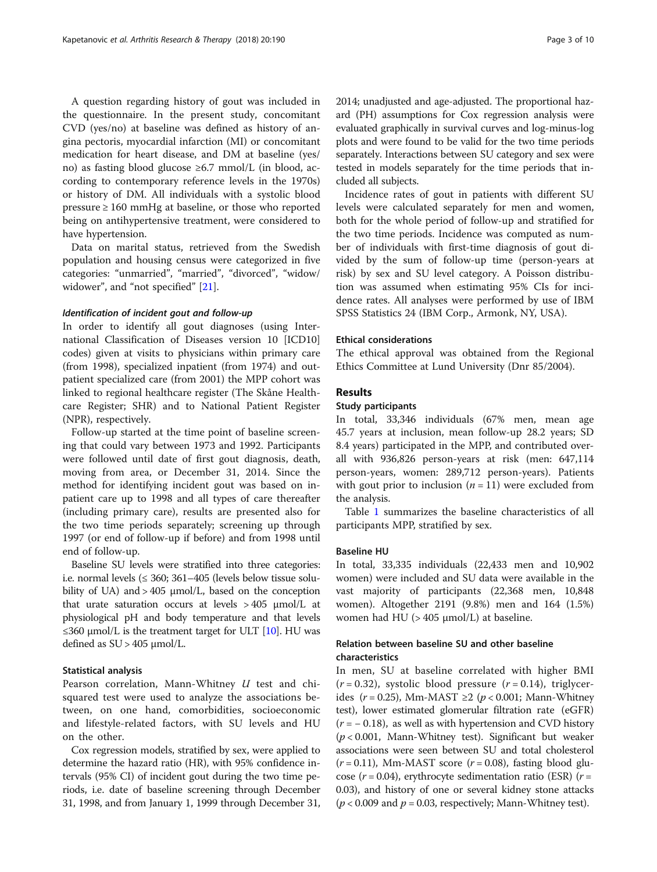A question regarding history of gout was included in the questionnaire. In the present study, concomitant CVD (yes/no) at baseline was defined as history of angina pectoris, myocardial infarction (MI) or concomitant medication for heart disease, and DM at baseline (yes/ no) as fasting blood glucose ≥6.7 mmol/L (in blood, according to contemporary reference levels in the 1970s) or history of DM. All individuals with a systolic blood  $pressure \geq 160$  mmHg at baseline, or those who reported being on antihypertensive treatment, were considered to have hypertension.

Data on marital status, retrieved from the Swedish population and housing census were categorized in five categories: "unmarried", "married", "divorced", "widow/ widower", and "not specified" [[21](#page-8-0)].

#### Identification of incident gout and follow-up

In order to identify all gout diagnoses (using International Classification of Diseases version 10 [ICD10] codes) given at visits to physicians within primary care (from 1998), specialized inpatient (from 1974) and outpatient specialized care (from 2001) the MPP cohort was linked to regional healthcare register (The Skåne Healthcare Register; SHR) and to National Patient Register (NPR), respectively.

Follow-up started at the time point of baseline screening that could vary between 1973 and 1992. Participants were followed until date of first gout diagnosis, death, moving from area, or December 31, 2014. Since the method for identifying incident gout was based on inpatient care up to 1998 and all types of care thereafter (including primary care), results are presented also for the two time periods separately; screening up through 1997 (or end of follow-up if before) and from 1998 until end of follow-up.

Baseline SU levels were stratified into three categories: i.e. normal levels ( $\leq$  360; 361–405 (levels below tissue solubility of UA) and > 405 μmol/L, based on the conception that urate saturation occurs at levels  $>405$   $\mu$ mol/L at physiological pH and body temperature and that levels  $≤360$  μmol/L is the treatment target for ULT [\[10](#page-8-0)]. HU was defined as SU > 405 μmol/L.

#### Statistical analysis

Pearson correlation, Mann-Whitney U test and chisquared test were used to analyze the associations between, on one hand, comorbidities, socioeconomic and lifestyle-related factors, with SU levels and HU on the other.

Cox regression models, stratified by sex, were applied to determine the hazard ratio (HR), with 95% confidence intervals (95% CI) of incident gout during the two time periods, i.e. date of baseline screening through December 31, 1998, and from January 1, 1999 through December 31, 2014; unadjusted and age-adjusted. The proportional hazard (PH) assumptions for Cox regression analysis were evaluated graphically in survival curves and log-minus-log plots and were found to be valid for the two time periods separately. Interactions between SU category and sex were tested in models separately for the time periods that included all subjects.

Incidence rates of gout in patients with different SU levels were calculated separately for men and women, both for the whole period of follow-up and stratified for the two time periods. Incidence was computed as number of individuals with first-time diagnosis of gout divided by the sum of follow-up time (person-years at risk) by sex and SU level category. A Poisson distribution was assumed when estimating 95% CIs for incidence rates. All analyses were performed by use of IBM SPSS Statistics 24 (IBM Corp., Armonk, NY, USA).

#### Ethical considerations

The ethical approval was obtained from the Regional Ethics Committee at Lund University (Dnr 85/2004).

#### Results

# Study participants

In total, 33,346 individuals (67% men, mean age 45.7 years at inclusion, mean follow-up 28.2 years; SD 8.4 years) participated in the MPP, and contributed overall with 936,826 person-years at risk (men: 647,114 person-years, women: 289,712 person-years). Patients with gout prior to inclusion  $(n = 11)$  were excluded from the analysis.

Table [1](#page-3-0) summarizes the baseline characteristics of all participants MPP, stratified by sex.

#### Baseline HU

In total, 33,335 individuals (22,433 men and 10,902 women) were included and SU data were available in the vast majority of participants (22,368 men, 10,848 women). Altogether 2191 (9.8%) men and 164 (1.5%) women had HU (> 405 μmol/L) at baseline.

# Relation between baseline SU and other baseline characteristics

In men, SU at baseline correlated with higher BMI  $(r = 0.32)$ , systolic blood pressure  $(r = 0.14)$ , triglycerides (*r* = 0.25), Mm-MAST ≥2 (*p* < 0.001; Mann-Whitney test), lower estimated glomerular filtration rate (eGFR)  $(r = -0.18)$ , as well as with hypertension and CVD history  $(p < 0.001$ , Mann-Whitney test). Significant but weaker associations were seen between SU and total cholesterol  $(r = 0.11)$ , Mm-MAST score  $(r = 0.08)$ , fasting blood glucose ( $r = 0.04$ ), erythrocyte sedimentation ratio (ESR) ( $r =$ 0.03), and history of one or several kidney stone attacks  $(p < 0.009$  and  $p = 0.03$ , respectively; Mann-Whitney test).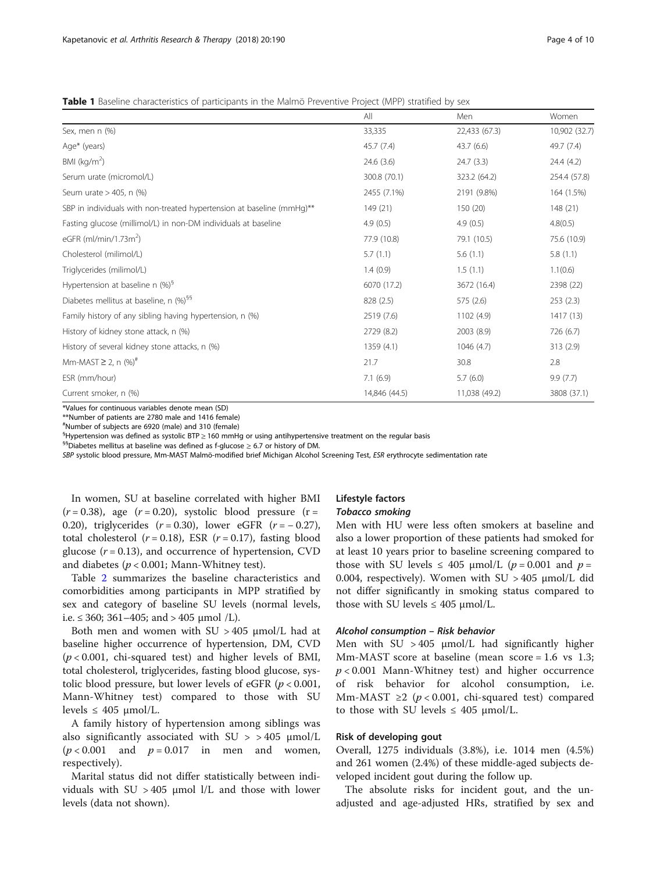<span id="page-3-0"></span>Table 1 Baseline characteristics of participants in the Malmö Preventive Project (MPP) stratified by sex

|                                                                       | All           | Men           | Women         |
|-----------------------------------------------------------------------|---------------|---------------|---------------|
| Sex, men n (%)                                                        | 33,335        | 22,433 (67.3) | 10,902 (32.7) |
| Age* (years)                                                          | 45.7 (7.4)    | 43.7 (6.6)    | 49.7 (7.4)    |
| BMI ( $\text{kg/m}^2$ )                                               | 24.6(3.6)     | 24.7 (3.3)    | 24.4(4.2)     |
| Serum urate (micromol/L)                                              | 300.8 (70.1)  | 323.2 (64.2)  | 254.4 (57.8)  |
| Seum urate > 405, n (%)                                               | 2455 (7.1%)   | 2191 (9.8%)   | 164 (1.5%)    |
| SBP in individuals with non-treated hypertension at baseline (mmHg)** | 149 (21)      | 150 (20)      | 148 (21)      |
| Fasting glucose (millimol/L) in non-DM individuals at baseline        | 4.9(0.5)      | 4.9(0.5)      | 4.8(0.5)      |
| eGFR (ml/min/1.73m <sup>2</sup> )                                     | 77.9 (10.8)   | 79.1 (10.5)   | 75.6 (10.9)   |
| Cholesterol (milimol/L)                                               | 5.7(1.1)      | 5.6(1.1)      | 5.8(1.1)      |
| Triglycerides (milimol/L)                                             | 1.4(0.9)      | 1.5(1.1)      | 1.1(0.6)      |
| Hypertension at baseline n $(\%)^5$                                   | 6070 (17.2)   | 3672 (16.4)   | 2398 (22)     |
| Diabetes mellitus at baseline, n (%) <sup>55</sup>                    | 828 (2.5)     | 575 (2.6)     | 253(2.3)      |
| Family history of any sibling having hypertension, n (%)              | 2519 (7.6)    | 1102 (4.9)    | 1417 (13)     |
| History of kidney stone attack, n (%)                                 | 2729 (8.2)    | 2003 (8.9)    | 726 (6.7)     |
| History of several kidney stone attacks, n (%)                        | 1359 (4.1)    | 1046 (4.7)    | 313(2.9)      |
| Mm-MAST $\geq$ 2, n (%) <sup>#</sup>                                  | 21.7          | 30.8          | 2.8           |
| ESR (mm/hour)                                                         | 7.1(6.9)      | 5.7(6.0)      | 9.9(7.7)      |
| Current smoker, n (%)                                                 | 14,846 (44.5) | 11,038 (49.2) | 3808 (37.1)   |

\*Values for continuous variables denote mean (SD)

\*\*Number of patients are 2780 male and 1416 female)

# Number of subjects are 6920 (male) and 310 (female)

 ${}^{5}$ Hypertension was defined as systolic BTP  $\geq$  160 mmHg or using antihypertensive treatment on the regular basis

 $\frac{1}{2}$ <sup>SS</sup>Diabetes mellitus at baseline was defined as f-glucose ≥ 6.7 or history of DM.

SBP systolic blood pressure, Mm-MAST Malmö-modified brief Michigan Alcohol Screening Test, ESR erythrocyte sedimentation rate

In women, SU at baseline correlated with higher BMI  $(r = 0.38)$ , age  $(r = 0.20)$ , systolic blood pressure  $(r = 0.38)$ 0.20), triglycerides  $(r = 0.30)$ , lower eGFR  $(r = -0.27)$ , total cholesterol ( $r = 0.18$ ), ESR ( $r = 0.17$ ), fasting blood glucose  $(r = 0.13)$ , and occurrence of hypertension, CVD and diabetes ( $p < 0.001$ ; Mann-Whitney test).

Table [2](#page-4-0) summarizes the baseline characteristics and comorbidities among participants in MPP stratified by sex and category of baseline SU levels (normal levels, i.e.  $\leq$  360; 361–405; and > 405 µmol /L).

Both men and women with SU > 405 μmol/L had at baseline higher occurrence of hypertension, DM, CVD  $(p < 0.001$ , chi-squared test) and higher levels of BMI, total cholesterol, triglycerides, fasting blood glucose, systolic blood pressure, but lower levels of eGFR ( $p < 0.001$ , Mann-Whitney test) compared to those with SU levels  $\leq 405$  µmol/L.

A family history of hypertension among siblings was also significantly associated with  $SU > 9405$  µmol/L  $(p < 0.001$  and  $p = 0.017$  in men and women, respectively).

Marital status did not differ statistically between individuals with SU > 405 μmol l/L and those with lower levels (data not shown).

# Lifestyle factors

# Tobacco smoking

Men with HU were less often smokers at baseline and also a lower proportion of these patients had smoked for at least 10 years prior to baseline screening compared to those with SU levels  $\leq$  405  $\mu$ mol/L (p = 0.001 and p = 0.004, respectively). Women with  $SU > 405$  µmol/L did not differ significantly in smoking status compared to those with SU levels  $\leq$  405  $\mu$ mol/L.

### Alcohol consumption – Risk behavior

Men with SU > 405 μmol/L had significantly higher Mm-MAST score at baseline (mean score = 1.6 vs 1.3;  $p < 0.001$  Mann-Whitney test) and higher occurrence of risk behavior for alcohol consumption, i.e. Mm-MAST  $\geq 2$  ( $p < 0.001$ , chi-squared test) compared to those with SU levels  $\leq 405$  µmol/L.

# Risk of developing gout

Overall, 1275 individuals (3.8%), i.e. 1014 men (4.5%) and 261 women (2.4%) of these middle-aged subjects developed incident gout during the follow up.

The absolute risks for incident gout, and the unadjusted and age-adjusted HRs, stratified by sex and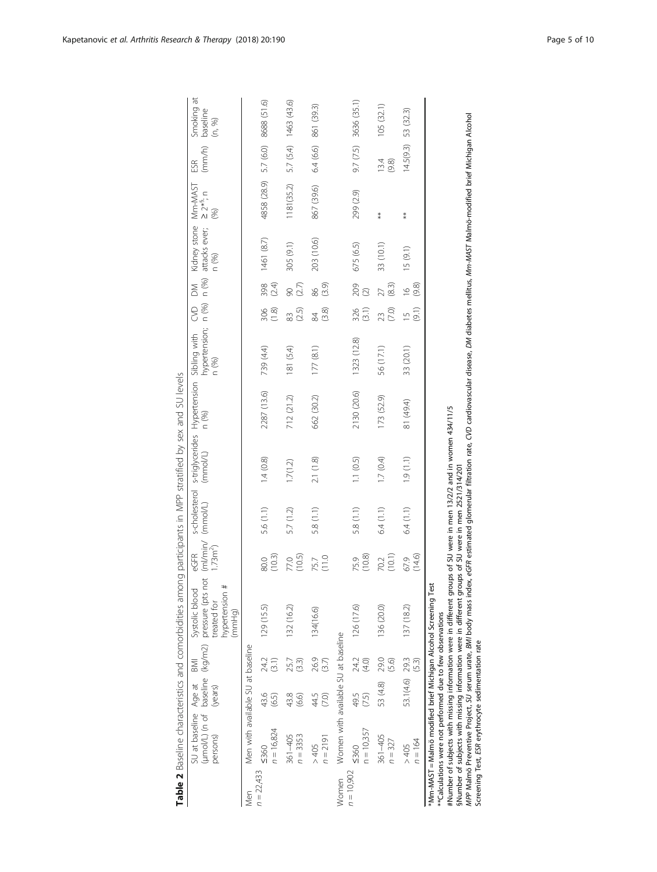<span id="page-4-0"></span>

|              | <b>&gt;----&gt; ハリン・フ・コーン・コーンリーフ・コース ハリンハ・コンリス・フ・コール リー・ニリハスロー</b> |                |               |                                                                                                                                                                                                                                                                                                 |                                                 |           |                                                        | ר המוני המוני המוני המוני המוני המוני המוני המוני המוני המוני המוני המוני המוני המוני המוני המוני המוני המוני ה<br>מוני המוני המוני המוני המוני המוני המוני המוני המוני המוני המוני המוני המוני המוני המוני המוני המוני המוני המ |                                              |                        |                        |                                                |                          |                       |                                  |
|--------------|--------------------------------------------------------------------|----------------|---------------|-------------------------------------------------------------------------------------------------------------------------------------------------------------------------------------------------------------------------------------------------------------------------------------------------|-------------------------------------------------|-----------|--------------------------------------------------------|----------------------------------------------------------------------------------------------------------------------------------------------------------------------------------------------------------------------------------|----------------------------------------------|------------------------|------------------------|------------------------------------------------|--------------------------|-----------------------|----------------------------------|
|              | SU at baseline Age at<br>persons)                                  | (years)        | BMI           | (µmol/L) (n of baseline (kg/m2) pressure (pts not<br>hypertension #<br>Systolic blood<br>treated for<br>(mmHg)                                                                                                                                                                                  | (ml/min/ (mmol/L)<br>1.73m <sup>2</sup><br>eGFR |           | s-cholesterol s-triglycerides Hypertension<br>(mm o/L) | n (%)                                                                                                                                                                                                                            | hypertension; n (%)<br>Sibling with<br>n (%) | S                      | n (%)<br>$\geq$        | Kidney stone Mm-MAST<br>attacks ever;<br>n (%) | $\geq 2^{*5}$ ; n<br>(%) | (mm/h)<br>ESR         | Smoking at<br>baseline<br>(n, %) |
| Men          | Men with available SU at baseline                                  |                |               |                                                                                                                                                                                                                                                                                                 |                                                 |           |                                                        |                                                                                                                                                                                                                                  |                                              |                        |                        |                                                |                          |                       |                                  |
| $n = 22,433$ | $n = 16,824$<br>≤360                                               | 43.6<br>(6.5)  | 24.2<br>(3.1) | 129 (15.5)                                                                                                                                                                                                                                                                                      | (10.3)<br>80.0                                  | 5.6 (1.1) | 1.4(0.8)                                               | 2287 (13.6)                                                                                                                                                                                                                      | 739 (4.4)                                    | $rac{8}{(1.8)}$        | 398<br>(2.4)           | 1461 (8.7)                                     | 4858 (28.9)              |                       | 5.7 (6.0) 8688 (51.6)            |
|              | $n = 3353$<br>361-405                                              | 43.8<br>(6.6)  | 25.7<br>(3.3) | 132 (16.2)                                                                                                                                                                                                                                                                                      | 77.0<br>(10.5)                                  | 5.7 (1.2) | 1.7(1.2)                                               | 712 (21.2)                                                                                                                                                                                                                       | 181 (5.4)                                    | (2.5)<br>83            | $90$<br>$(2.7)$        | 305 (9.1)                                      | 1181(35.2)               |                       | $5.7(5.4)$ 1463(43.6)            |
|              | $n = 2191$<br>>405                                                 | 44.5<br>(7.0)  | 26.9          | 134(16.6)                                                                                                                                                                                                                                                                                       | 75.7<br>(11.0                                   | 5.8 (1.1) | 2.1(1.8)                                               | 662 (30.2)                                                                                                                                                                                                                       | 177(8.1)                                     | (3.8)<br>84            | (3.9)<br>86            | 203 (10.6)                                     | 867 (39.6)               | 6.4(6.6)              | 861 (39.3)                       |
| Women        | Women with available SU at baseline                                |                |               |                                                                                                                                                                                                                                                                                                 |                                                 |           |                                                        |                                                                                                                                                                                                                                  |                                              |                        |                        |                                                |                          |                       |                                  |
| $n = 10,902$ | $n = 10,357$<br>≤360                                               | 49.5<br>(7.5)  | 24.2<br>(4.0) | 126 (17.6)                                                                                                                                                                                                                                                                                      | (10.8)<br>75.9                                  | 5.8 (1.1) | 1.1 (0.5)                                              | 2130 (20.6)                                                                                                                                                                                                                      | 1323 (12.8)                                  | 326<br>(3.1)           | $\frac{209}{(2)}$      | 675 (6.5)                                      | 299 (2.9)                |                       | $9.7(7.5)$ 3636 (35.1)           |
|              | $361 - 405$<br>$n = 327$                                           | 53 (4.8)       | 29.0<br>(5.6) | 136 (20.0)                                                                                                                                                                                                                                                                                      | (10.1)<br>70.2                                  | 6.4 (1.1) | 1.7(0.4)                                               | 173 (52.9)                                                                                                                                                                                                                       | 56 (17.1)                                    | 23<br>(7.0)            | (8.3)<br>27            | 33 (10.1)                                      | $* *$                    | 13.4<br>(9.8)         | 105(32.1)                        |
|              | $n = 164$<br>$>405$                                                | 53.1(4.6) 29.3 | (5.3)         | 137 (18.2)                                                                                                                                                                                                                                                                                      | (14.6)<br>67.9                                  | 6.4 (1.1) | $(1.1)$ $(0.1)$                                        | 81 (49.4)                                                                                                                                                                                                                        | 33 (20.1)                                    | (9.1)<br>$\frac{1}{2}$ | (9.8)<br>$\frac{1}{2}$ | 15(9.1)                                        | $* *$                    | $14.5(9.3)$ 53 (32.3) |                                  |
|              | ** Calculations were not performed due to few observations         |                |               | #Number of subjects with missing information were in different groups of SU were in men 13/2/2 and in women 434/11/5<br>SNumber of subjects with missing information were in different groups of SU were in men 2521/314/201<br>*Mm-MAST = Malmö modified brief Michigan Alcohol Screening Test |                                                 |           |                                                        |                                                                                                                                                                                                                                  |                                              |                        |                        |                                                |                          |                       |                                  |

Table 2 Baseline characteristics and comorbidities among participants in MPP stratified by sex and SU levels Table 2 Baseline characteristics and comorbidities among participants in MPP stratified by sex and SU levels SNumber of subjects with missing information were in different groups of SU were in men 2521/314/201<br>*MPP* Malmö Preventive Project, SU serum urate, *BMI* body mass index, eGFR estimated glomerular filtration rate, CVD car MPP Malmö Preventive Project, SU serum urate, BMI body mass index, eGFR estimated glomerular filtration rate, CVD cardiovascular disease, DM diabetes mellitus, Mm-MAST Malmö-modified brief Michigan Alcohol Screening Test, ESR erythrocyte sedimentation rate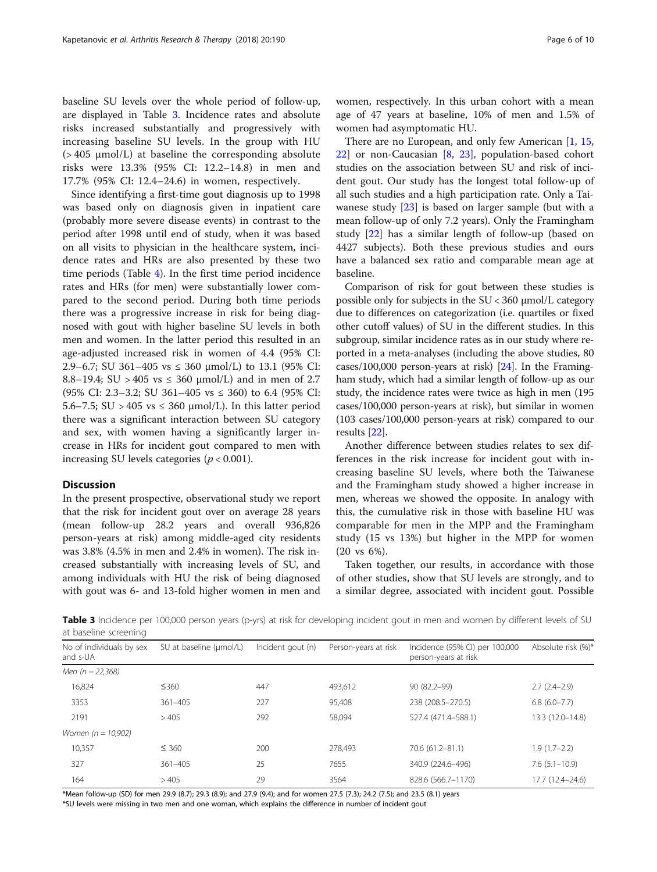baseline SU levels over the whole period of follow-up, are displayed in Table 3. Incidence rates and absolute risks increased substantially and progressively with increasing baseline SU levels. In the group with HU  $(>405 \mu \text{mol/L})$  at baseline the corresponding absolute risks were 13.3% (95% CI: 12.2–14.8) in men and 17.7% (95% CI: 12.4–24.6) in women, respectively.

Since identifying a first-time gout diagnosis up to 1998 was based only on diagnosis given in inpatient care (probably more severe disease events) in contrast to the period after 1998 until end of study, when it was based on all visits to physician in the healthcare system, incidence rates and HRs are also presented by these two time periods (Table [4\)](#page-6-0). In the first time period incidence rates and HRs (for men) were substantially lower compared to the second period. During both time periods there was a progressive increase in risk for being diagnosed with gout with higher baseline SU levels in both men and women. In the latter period this resulted in an age-adjusted increased risk in women of 4.4 (95% CI: 2.9–6.7; SU 361–405 vs  $\leq$  360  $\mu$ mol/L) to 13.1 (95% CI: 8.8–19.4; SU > 405 vs  $\leq$  360  $\mu$ mol/L) and in men of 2.7 (95% CI: 2.3–3.2; SU 361–405 vs ≤ 360) to 6.4 (95% CI: 5.6–7.5; SU > 405 vs  $\leq$  360  $\mu$ mol/L). In this latter period there was a significant interaction between SU category and sex, with women having a significantly larger increase in HRs for incident gout compared to men with increasing SU levels categories ( $p < 0.001$ ).

#### **Discussion**

In the present prospective, observational study we report that the risk for incident gout over on average 28 years (mean follow-up 28.2 years and overall 936,826 person-years at risk) among middle-aged city residents was 3.8% (4.5% in men and 2.4% in women). The risk increased substantially with increasing levels of SU, and among individuals with HU the risk of being diagnosed with gout was 6- and 13-fold higher women in men and

There are no European, and only few American [\[1](#page-8-0), [15](#page-8-0), [22\]](#page-8-0) or non-Caucasian [[8,](#page-8-0) [23](#page-8-0)], population-based cohort studies on the association between SU and risk of incident gout. Our study has the longest total follow-up of all such studies and a high participation rate. Only a Taiwanese study [\[23\]](#page-8-0) is based on larger sample (but with a mean follow-up of only 7.2 years). Only the Framingham study [\[22](#page-8-0)] has a similar length of follow-up (based on 4427 subjects). Both these previous studies and ours have a balanced sex ratio and comparable mean age at baseline.

Comparison of risk for gout between these studies is possible only for subjects in the SU < 360 μmol/L category due to differences on categorization (i.e. quartiles or fixed other cutoff values) of SU in the different studies. In this subgroup, similar incidence rates as in our study where reported in a meta-analyses (including the above studies, 80 cases/100,000 person-years at risk) [\[24\]](#page-9-0). In the Framingham study, which had a similar length of follow-up as our study, the incidence rates were twice as high in men (195 cases/100,000 person-years at risk), but similar in women (103 cases/100,000 person-years at risk) compared to our results [[22](#page-8-0)].

Another difference between studies relates to sex differences in the risk increase for incident gout with increasing baseline SU levels, where both the Taiwanese and the Framingham study showed a higher increase in men, whereas we showed the opposite. In analogy with this, the cumulative risk in those with baseline HU was comparable for men in the MPP and the Framingham study (15 vs 13%) but higher in the MPP for women (20 vs 6%).

Taken together, our results, in accordance with those of other studies, show that SU levels are strongly, and to a similar degree, associated with incident gout. Possible

Table 3 Incidence per 100,000 person years (p-yrs) at risk for developing incident gout in men and women by different levels of SU at baseline screening

| No of individuals by sex<br>and s-UA | SU at baseline (µmol/L) | Incident gout (n) | Person-years at risk | Incidence (95% CI) per 100,000<br>person-years at risk | Absolute risk (%)*  |
|--------------------------------------|-------------------------|-------------------|----------------------|--------------------------------------------------------|---------------------|
| Men $(n = 22,368)$                   |                         |                   |                      |                                                        |                     |
| 16,824                               | $\leq$ 360              | 447               | 493.612              | 90 (82.2-99)                                           | $2.7(2.4-2.9)$      |
| 3353                                 | $361 - 405$             | 227               | 95,408               | 238 (208.5-270.5)                                      | $6.8(6.0 - 7.7)$    |
| 2191                                 | >405                    | 292               | 58.094               | 527.4 (471.4-588.1)                                    | $13.3(12.0 - 14.8)$ |
| Women $(n = 10,902)$                 |                         |                   |                      |                                                        |                     |
| 10,357                               | $\leq 360$              | 200               | 278.493              | 70.6 (61.2-81.1)                                       | $1.9(1.7-2.2)$      |
| 327                                  | $361 - 405$             | 25                | 7655                 | 340.9 (224.6-496)                                      | $7.6(5.1-10.9)$     |
| 164                                  | >405                    | 29                | 3564                 | 828.6 (566.7-1170)                                     | $17.7(12.4 - 24.6)$ |

\*Mean follow-up (SD) for men 29.9 (8.7); 29.3 (8.9); and 27.9 (9.4); and for women 27.5 (7.3); 24.2 (7.5); and 23.5 (8.1) years

\*SU levels were missing in two men and one woman, which explains the difference in number of incident gout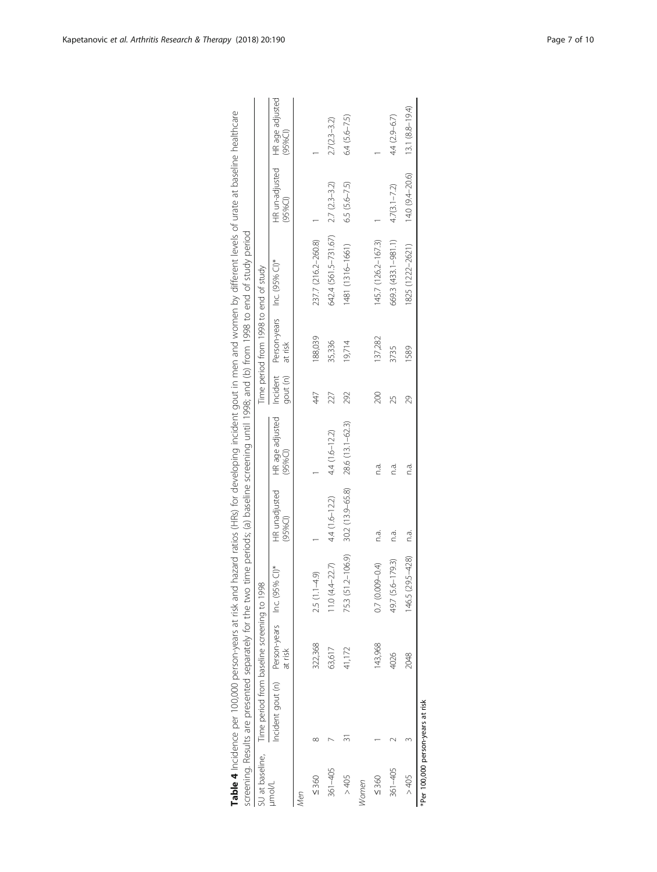|                                   |                                                             |         |                    |                                    |                            |          |                                                 | screening. Results are presented separately for the two time periods; (a) baseline screening until 1998; and (b) from 1998 to end of study period |                                          |                  |
|-----------------------------------|-------------------------------------------------------------|---------|--------------------|------------------------------------|----------------------------|----------|-------------------------------------------------|---------------------------------------------------------------------------------------------------------------------------------------------------|------------------------------------------|------------------|
|                                   | SU at baseline, Time period from baseline screening to 1998 |         |                    |                                    |                            |          | Time period from 1998 to end of study           |                                                                                                                                                   |                                          |                  |
| J/Jour.                           | Incident gout (n) Person-years Inc. (95% CI)*               | at risk |                    | <b>HR</b> unadjusted<br>$(95%$ CI) | HR age adjusted<br>(95%Cl) | qout (n) | Incident Person-years Inc. (95% CI)*<br>at risk |                                                                                                                                                   | HR un-adjusted HR age adjusted<br>(95%C) | (95%C)           |
| Men                               |                                                             |         |                    |                                    |                            |          |                                                 |                                                                                                                                                   |                                          |                  |
| $\leq 360$                        |                                                             | 322,368 | $2.5(1.1-4.9)$     |                                    |                            | 447      | 188,039                                         | 237.7 (216.2-260.8)                                                                                                                               |                                          |                  |
| 361-405                           |                                                             | 63,617  | $1.0(4.4 - 22.7)$  | 4.4 (1.6-12.2)                     | 4.4 (1.6-12.2)             | 227      | 35,336                                          | 642.4 (561.5-731.67)                                                                                                                              | $2.7 (2.3 - 3.2)$                        | $2.7(2.3 - 3.2)$ |
| >405                              |                                                             | 41,172  | 75.3 (51.2-106.9)  | 30.2 (13.9-65.8)                   | 28.6 (13.1-62.3)           | 292      | 19,714                                          | 1481 (1316-1661)                                                                                                                                  | $6.5 (5.6 - 7.5)$                        | 6.4 (5.6–7.5)    |
| Women                             |                                                             |         |                    |                                    |                            |          |                                                 |                                                                                                                                                   |                                          |                  |
| $\leq 360$                        |                                                             | 143,968 | $0.7(0.009 - 0.4)$ | n.a.                               | n.a.                       | 200      | 137,282                                         | 145.7 (126.2-167.3)                                                                                                                               |                                          |                  |
| 361-405                           |                                                             | 4026    | 49.7 (5.6-179.3)   | n.a.                               | na.                        | 25       | 3735                                            | 669.3 (433.1-981.1)                                                                                                                               | $4.7(3.1 - 7.2)$                         | 4.4 (2.9-6.7)    |
| > 405                             |                                                             | 2048    | 146.5 (29.5-428)   | n.a.                               | ₫.                         | 29       | 1589                                            | 1825 (1222-2621)                                                                                                                                  | 14.0 (9.4-20.6)                          | 13.1 (8.8-19.4)  |
| *Per 100,000 person-years at risk |                                                             |         |                    |                                    |                            |          |                                                 |                                                                                                                                                   |                                          |                  |

<span id="page-6-0"></span>

| í<br>$\overline{ }$<br>l<br>j                                                                                                                                                        |                                                                                                                                     |
|--------------------------------------------------------------------------------------------------------------------------------------------------------------------------------------|-------------------------------------------------------------------------------------------------------------------------------------|
| and bazard ratios (HRs) for developing incident gout in men and women by different levels of urate at baseline bealthor .                                                            |                                                                                                                                     |
| ゴニュニリング ファイン                                                                                                                                                                         |                                                                                                                                     |
|                                                                                                                                                                                      |                                                                                                                                     |
| ラリココ                                                                                                                                                                                 |                                                                                                                                     |
|                                                                                                                                                                                      |                                                                                                                                     |
|                                                                                                                                                                                      | $\frac{5}{2}$                                                                                                                       |
|                                                                                                                                                                                      | white the first of the deck coor seeking                                                                                            |
|                                                                                                                                                                                      | うりり                                                                                                                                 |
|                                                                                                                                                                                      | うろころ こうこう                                                                                                                           |
|                                                                                                                                                                                      |                                                                                                                                     |
|                                                                                                                                                                                      |                                                                                                                                     |
|                                                                                                                                                                                      |                                                                                                                                     |
|                                                                                                                                                                                      | Ĵ                                                                                                                                   |
|                                                                                                                                                                                      | - 1000                                                                                                                              |
|                                                                                                                                                                                      |                                                                                                                                     |
|                                                                                                                                                                                      | Š<br>ì                                                                                                                              |
|                                                                                                                                                                                      | こう ダニミニノラ ソニリウコード                                                                                                                   |
|                                                                                                                                                                                      |                                                                                                                                     |
|                                                                                                                                                                                      |                                                                                                                                     |
|                                                                                                                                                                                      | しょくりこうしゃく こうご こうこうりょくろう<br>$\overline{\phantom{a}}$                                                                                 |
|                                                                                                                                                                                      |                                                                                                                                     |
| $\frac{1}{2}$                                                                                                                                                                        |                                                                                                                                     |
| )<br>5<br>5                                                                                                                                                                          | ξ                                                                                                                                   |
| j                                                                                                                                                                                    |                                                                                                                                     |
|                                                                                                                                                                                      |                                                                                                                                     |
|                                                                                                                                                                                      | j<br>י<br>ו                                                                                                                         |
|                                                                                                                                                                                      | (<br>⊂<br>ì<br>í                                                                                                                    |
|                                                                                                                                                                                      |                                                                                                                                     |
|                                                                                                                                                                                      |                                                                                                                                     |
| ֧֦֦֦֦֧֧֧֧֧֦֧֦֧֧֦֧ׅ֧֧֧֧֧֧֧֧֚֚֚֚֚֚֚֚֚֚֚֚֚֚֚֚֚֚֚֚֚֚֚֚֝֝֝֝֝֝֝֓֝֓֝֓֝֓֝֓֜֝֬֝֓֝֬֝֬֝֬֝֝֝<br>֧֧֧ׅ֧֧֧֧֧ׅׅ֧֧ׅ֧֧֧֧֧֧ׅ֧֧֧֧ׅ֧֧֧֧֧֧֦֧֛֧֛֛֛֛֧֛֛֛֧֛֛֛֛֛֛֛֛֛֛֛֛֛֚֚֚֚֚֚֚֚֚֚֚֚֚֚֚֚֚֚֚֚֚֚֝֘֜֝֝֘֜֜֜֜֜<br>J | l<br>٢                                                                                                                              |
|                                                                                                                                                                                      | ֦֧ׅ֧ׅ֦֧ׅ֧ׅ֧ׅ֧ׅ֧ׅ֧֧֧ׅ֧ׅ֧֧֧ׅ֧ׅ֧֧֧ׅ֧֧֧ׅ֧֧֧֧֧֧֧֧֧֚֚֚֚֚֚֚֚֚֚֚֚֚֚֚֚֚֚֚֚֚֚֚֚֚֚֚֚֚֡֝֓֡֓֓֡֜֓֓֡֓֓֡֜֓֡֬֜֓֓֡֬֓֜֓֓֓֜֝֓֝֬֝֬<br>֧֧ׅ֧֪֧֧֪֧֛֛֛֜֜֜֜֜֜ |
|                                                                                                                                                                                      |                                                                                                                                     |
|                                                                                                                                                                                      |                                                                                                                                     |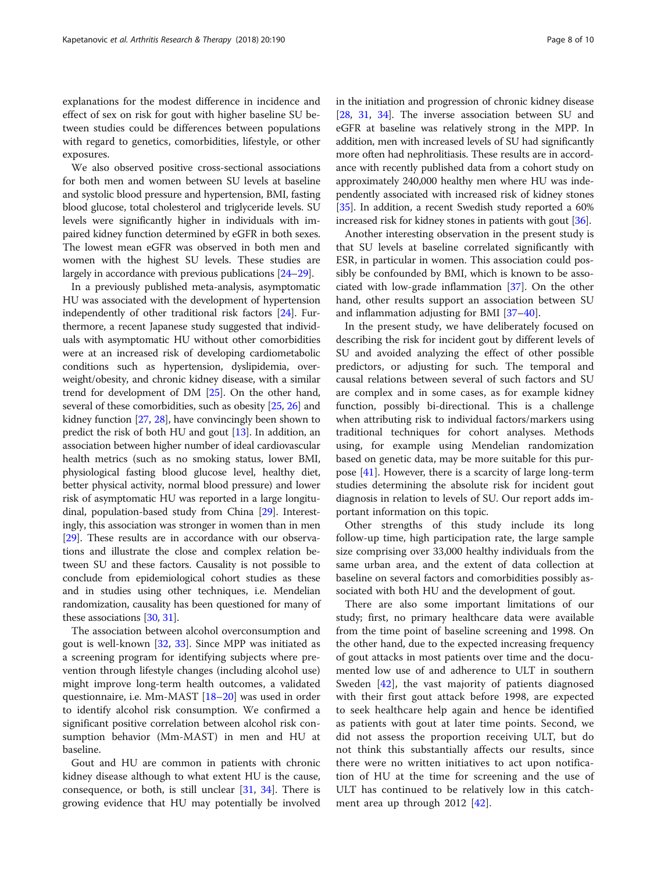explanations for the modest difference in incidence and effect of sex on risk for gout with higher baseline SU between studies could be differences between populations with regard to genetics, comorbidities, lifestyle, or other exposures.

We also observed positive cross-sectional associations for both men and women between SU levels at baseline and systolic blood pressure and hypertension, BMI, fasting blood glucose, total cholesterol and triglyceride levels. SU levels were significantly higher in individuals with impaired kidney function determined by eGFR in both sexes. The lowest mean eGFR was observed in both men and women with the highest SU levels. These studies are largely in accordance with previous publications [\[24](#page-9-0)–[29](#page-9-0)].

In a previously published meta-analysis, asymptomatic HU was associated with the development of hypertension independently of other traditional risk factors [\[24\]](#page-9-0). Furthermore, a recent Japanese study suggested that individuals with asymptomatic HU without other comorbidities were at an increased risk of developing cardiometabolic conditions such as hypertension, dyslipidemia, overweight/obesity, and chronic kidney disease, with a similar trend for development of DM [[25](#page-9-0)]. On the other hand, several of these comorbidities, such as obesity [[25,](#page-9-0) [26\]](#page-9-0) and kidney function [\[27,](#page-9-0) [28](#page-9-0)], have convincingly been shown to predict the risk of both HU and gout [\[13\]](#page-8-0). In addition, an association between higher number of ideal cardiovascular health metrics (such as no smoking status, lower BMI, physiological fasting blood glucose level, healthy diet, better physical activity, normal blood pressure) and lower risk of asymptomatic HU was reported in a large longitudinal, population-based study from China [\[29](#page-9-0)]. Interestingly, this association was stronger in women than in men [[29](#page-9-0)]. These results are in accordance with our observations and illustrate the close and complex relation between SU and these factors. Causality is not possible to conclude from epidemiological cohort studies as these and in studies using other techniques, i.e. Mendelian randomization, causality has been questioned for many of these associations [\[30,](#page-9-0) [31](#page-9-0)].

The association between alcohol overconsumption and gout is well-known [[32,](#page-9-0) [33](#page-9-0)]. Since MPP was initiated as a screening program for identifying subjects where prevention through lifestyle changes (including alcohol use) might improve long-term health outcomes, a validated questionnaire, i.e. Mm-MAST [\[18](#page-8-0)–[20\]](#page-8-0) was used in order to identify alcohol risk consumption. We confirmed a significant positive correlation between alcohol risk consumption behavior (Mm-MAST) in men and HU at baseline.

Gout and HU are common in patients with chronic kidney disease although to what extent HU is the cause, consequence, or both, is still unclear [\[31](#page-9-0), [34](#page-9-0)]. There is growing evidence that HU may potentially be involved in the initiation and progression of chronic kidney disease [[28](#page-9-0), [31,](#page-9-0) [34](#page-9-0)]. The inverse association between SU and eGFR at baseline was relatively strong in the MPP. In addition, men with increased levels of SU had significantly more often had nephrolitiasis. These results are in accordance with recently published data from a cohort study on approximately 240,000 healthy men where HU was independently associated with increased risk of kidney stones [[35](#page-9-0)]. In addition, a recent Swedish study reported a 60% increased risk for kidney stones in patients with gout [\[36\]](#page-9-0).

Another interesting observation in the present study is that SU levels at baseline correlated significantly with ESR, in particular in women. This association could possibly be confounded by BMI, which is known to be associated with low-grade inflammation [[37\]](#page-9-0). On the other hand, other results support an association between SU and inflammation adjusting for BMI [\[37](#page-9-0)–[40](#page-9-0)].

In the present study, we have deliberately focused on describing the risk for incident gout by different levels of SU and avoided analyzing the effect of other possible predictors, or adjusting for such. The temporal and causal relations between several of such factors and SU are complex and in some cases, as for example kidney function, possibly bi-directional. This is a challenge when attributing risk to individual factors/markers using traditional techniques for cohort analyses. Methods using, for example using Mendelian randomization based on genetic data, may be more suitable for this purpose [\[41](#page-9-0)]. However, there is a scarcity of large long-term studies determining the absolute risk for incident gout diagnosis in relation to levels of SU. Our report adds important information on this topic.

Other strengths of this study include its long follow-up time, high participation rate, the large sample size comprising over 33,000 healthy individuals from the same urban area, and the extent of data collection at baseline on several factors and comorbidities possibly associated with both HU and the development of gout.

There are also some important limitations of our study; first, no primary healthcare data were available from the time point of baseline screening and 1998. On the other hand, due to the expected increasing frequency of gout attacks in most patients over time and the documented low use of and adherence to ULT in southern Sweden [[42](#page-9-0)], the vast majority of patients diagnosed with their first gout attack before 1998, are expected to seek healthcare help again and hence be identified as patients with gout at later time points. Second, we did not assess the proportion receiving ULT, but do not think this substantially affects our results, since there were no written initiatives to act upon notification of HU at the time for screening and the use of ULT has continued to be relatively low in this catchment area up through 2012 [\[42](#page-9-0)].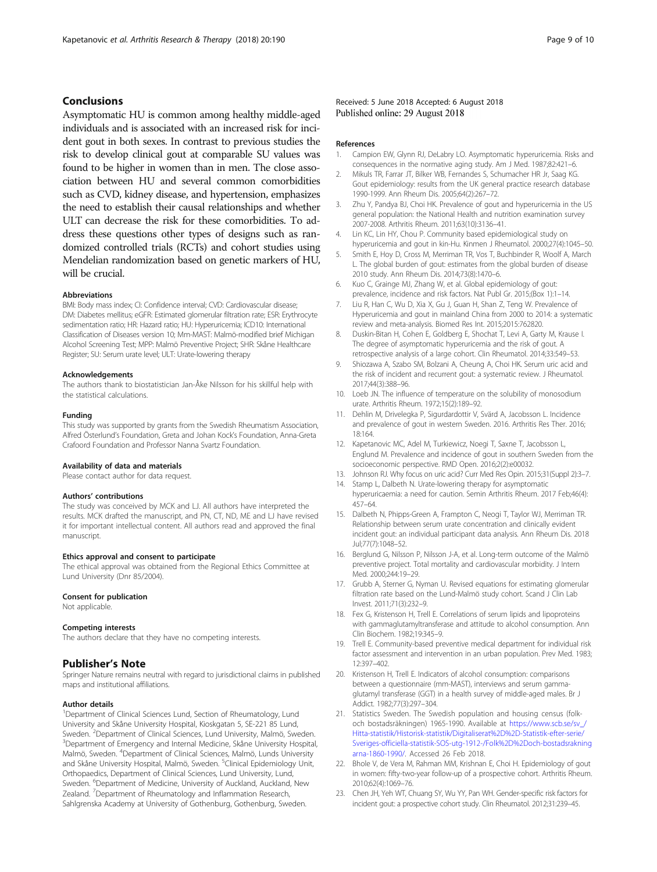# <span id="page-8-0"></span>Conclusions

Asymptomatic HU is common among healthy middle-aged individuals and is associated with an increased risk for incident gout in both sexes. In contrast to previous studies the risk to develop clinical gout at comparable SU values was found to be higher in women than in men. The close association between HU and several common comorbidities such as CVD, kidney disease, and hypertension, emphasizes the need to establish their causal relationships and whether ULT can decrease the risk for these comorbidities. To address these questions other types of designs such as randomized controlled trials (RCTs) and cohort studies using Mendelian randomization based on genetic markers of HU, will be crucial.

#### Abbreviations

BMI: Body mass index; CI: Confidence interval; CVD: Cardiovascular disease; DM: Diabetes mellitus; eGFR: Estimated glomerular filtration rate; ESR: Erythrocyte sedimentation ratio; HR: Hazard ratio; HU: Hyperuricemia; ICD10: International Classification of Diseases version 10; Mm-MAST: Malmö-modified brief Michigan Alcohol Screening Test; MPP: Malmö Preventive Project; SHR: Skåne Healthcare Register; SU: Serum urate level; ULT: Urate-lowering therapy

#### Acknowledgements

The authors thank to biostatistician Jan-Åke Nilsson for his skillful help with the statistical calculations.

#### Funding

This study was supported by grants from the Swedish Rheumatism Association, Alfred Österlund's Foundation, Greta and Johan Kock's Foundation, Anna-Greta Crafoord Foundation and Professor Nanna Svartz Foundation.

#### Availability of data and materials

Please contact author for data request.

#### Authors' contributions

The study was conceived by MCK and LJ. All authors have interpreted the results. MCK drafted the manuscript, and PN, CT, ND, ME and LJ have revised it for important intellectual content. All authors read and approved the final manuscript.

#### Ethics approval and consent to participate

The ethical approval was obtained from the Regional Ethics Committee at Lund University (Dnr 85/2004).

#### Consent for publication

Not applicable.

#### Competing interests

The authors declare that they have no competing interests.

# Publisher's Note

Springer Nature remains neutral with regard to jurisdictional claims in published maps and institutional affiliations.

#### Author details

<sup>1</sup>Department of Clinical Sciences Lund, Section of Rheumatology, Lund University and Skåne University Hospital, Kioskgatan 5, SE-221 85 Lund, Sweden. <sup>2</sup> Department of Clinical Sciences, Lund University, Malmö, Sweden.<br><sup>3</sup> Department of Emergency and Internal Medicine, Skåne University Hespita <sup>3</sup>Department of Emergency and Internal Medicine, Skåne University Hospital, Malmö, Sweden. <sup>4</sup> Department of Clinical Sciences, Malmö, Lunds University and Skåne University Hospital, Malmö, Sweden. <sup>5</sup>Clinical Epidemiology Unit, Orthopaedics, Department of Clinical Sciences, Lund University, Lund, Sweden. <sup>6</sup>Department of Medicine, University of Auckland, Auckland, New Zealand. <sup>7</sup>Department of Rheumatology and Inflammation Research, Sahlgrenska Academy at University of Gothenburg, Gothenburg, Sweden.

Received: 5 June 2018 Accepted: 6 August 2018 Published online: 29 August 2018

#### References

- 1. Campion EW, Glynn RJ, DeLabry LO. Asymptomatic hyperuricemia. Risks and consequences in the normative aging study. Am J Med. 1987;82:421–6.
- 2. Mikuls TR, Farrar JT, Bilker WB, Fernandes S, Schumacher HR Jr, Saag KG. Gout epidemiology: results from the UK general practice research database 1990-1999. Ann Rheum Dis. 2005;64(2):267–72.
- 3. Zhu Y, Pandya BJ, Choi HK. Prevalence of gout and hyperuricemia in the US general population: the National Health and nutrition examination survey 2007-2008. Arthritis Rheum. 2011;63(10):3136–41.
- 4. Lin KC, Lin HY, Chou P. Community based epidemiological study on hyperuricemia and gout in kin-Hu. Kinmen J Rheumatol. 2000;27(4):1045–50.
- 5. Smith E, Hoy D, Cross M, Merriman TR, Vos T, Buchbinder R, Woolf A, March L. The global burden of gout: estimates from the global burden of disease 2010 study. Ann Rheum Dis. 2014;73(8):1470–6.
- 6. Kuo C, Grainge MJ, Zhang W, et al. Global epidemiology of gout: prevalence, incidence and risk factors. Nat Publ Gr. 2015;(Box 1):1–14.
- 7. Liu R, Han C, Wu D, Xia X, Gu J, Guan H, Shan Z, Teng W. Prevalence of Hyperuricemia and gout in mainland China from 2000 to 2014: a systematic review and meta-analysis. Biomed Res Int. 2015;2015:762820.
- 8. Duskin-Bitan H, Cohen E, Goldberg E, Shochat T, Levi A, Garty M, Krause I. The degree of asymptomatic hyperuricemia and the risk of gout. A retrospective analysis of a large cohort. Clin Rheumatol. 2014;33:549–53.
- 9. Shiozawa A, Szabo SM, Bolzani A, Cheung A, Choi HK. Serum uric acid and the risk of incident and recurrent gout: a systematic review. J Rheumatol. 2017;44(3):388–96.
- 10. Loeb JN. The influence of temperature on the solubility of monosodium urate. Arthritis Rheum. 1972;15(2):189–92.
- 11. Dehlin M, Drivelegka P, Sigurdardottir V, Svärd A, Jacobsson L. Incidence and prevalence of gout in western Sweden. 2016. Arthritis Res Ther. 2016; 18:164.
- 12. Kapetanovic MC, Adel M, Turkiewicz, Noegi T, Saxne T, Jacobsson L, Englund M. Prevalence and incidence of gout in southern Sweden from the socioeconomic perspective. RMD Open. 2016;2(2):e00032.
- 13. Johnson RJ. Why focus on uric acid? Curr Med Res Opin. 2015;31(Suppl 2):3–7.
- 14. Stamp L, Dalbeth N. Urate-lowering therapy for asymptomatic hyperuricaemia: a need for caution. Semin Arthritis Rheum. 2017 Feb;46(4): 457–64.
- 15. Dalbeth N, Phipps-Green A, Frampton C, Neogi T, Taylor WJ, Merriman TR. Relationship between serum urate concentration and clinically evident incident gout: an individual participant data analysis. Ann Rheum Dis. 2018 Jul;77(7):1048–52.
- 16. Berglund G, Nilsson P, Nilsson J-A, et al. Long-term outcome of the Malmö preventive project. Total mortality and cardiovascular morbidity. J Intern Med. 2000;244:19–29.
- 17. Grubb A, Sterner G, Nyman U. Revised equations for estimating glomerular filtration rate based on the Lund-Malmö study cohort. Scand J Clin Lab Invest. 2011;71(3):232–9.
- 18. Fex G, Kristenson H, Trell E. Correlations of serum lipids and lipoproteins with gammaglutamyltransferase and attitude to alcohol consumption. Ann Clin Biochem. 1982;19:345–9.
- 19. Trell E. Community-based preventive medical department for individual risk factor assessment and intervention in an urban population. Prev Med. 1983; 12:397–402.
- 20. Kristenson H, Trell E. Indicators of alcohol consumption: comparisons between a questionnaire (mm-MAST), interviews and serum gammaglutamyl transferase (GGT) in a health survey of middle-aged males. Br J Addict. 1982;77(3):297–304.
- 21. Statistics Sweden. The Swedish population and housing census (folkoch bostadsräkningen) 1965-1990. Available at [https://www.scb.se/sv\\_/](https://www.scb.se/sv_/Hitta-statistik/Historisk-statistik/Digitaliserat%2D%2D-Statistik-efter-serie/Sveriges-officiella-statistik-SOS-utg-1912-/Folk%2D%2Doch-bostadsrakningarna-1860-1990/) [Hitta-statistik/Historisk-statistik/Digitaliserat%2D%2D-Statistik-efter-serie/](https://www.scb.se/sv_/Hitta-statistik/Historisk-statistik/Digitaliserat%2D%2D-Statistik-efter-serie/Sveriges-officiella-statistik-SOS-utg-1912-/Folk%2D%2Doch-bostadsrakningarna-1860-1990/) [Sveriges-officiella-statistik-SOS-utg-1912-/Folk%2D%2Doch-bostadsrakning](https://www.scb.se/sv_/Hitta-statistik/Historisk-statistik/Digitaliserat%2D%2D-Statistik-efter-serie/Sveriges-officiella-statistik-SOS-utg-1912-/Folk%2D%2Doch-bostadsrakningarna-1860-1990/) [arna-1860-1990/](https://www.scb.se/sv_/Hitta-statistik/Historisk-statistik/Digitaliserat%2D%2D-Statistik-efter-serie/Sveriges-officiella-statistik-SOS-utg-1912-/Folk%2D%2Doch-bostadsrakningarna-1860-1990/). Accessed 26 Feb 2018.
- 22. Bhole V, de Vera M, Rahman MM, Krishnan E, Choi H. Epidemiology of gout in women: fifty-two-year follow-up of a prospective cohort. Arthritis Rheum. 2010;62(4):1069–76.
- 23. Chen JH, Yeh WT, Chuang SY, Wu YY, Pan WH. Gender-specific risk factors for incident gout: a prospective cohort study. Clin Rheumatol. 2012;31:239–45.